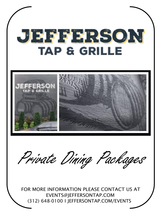# JEEFFRSON **TAP & GRILLE**





FOR MORE INFORMATION PLEASE CONTACT US AT [EVENTS@JEFFERSONTAP.COM](mailto:EVENTS@JEFFERSONTAP.COM) (312) 648-0100 I JEFFERSONTAP.COM/EVENTS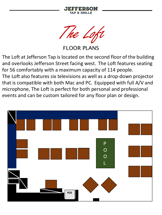

The Loft

FLOOR PLANS

The Loft at Jefferson Tap is located on the second floor of the building and overlooks Jefferson Street facing west. The Loft features seating for 56 comfortably with a maximum capacity of 114 people. The Loft also features six televisions as well as a drop-down projector that is compatible with both Mac and PC. Equipped with full A/V and microphone, The Loft is perfect for both personal and professional events and can be custom tailored for any floor plan or design.

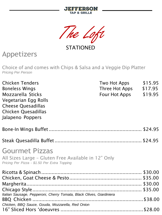

The Loft

**STATIONED** 

## Appetizers

Choice of and comes with Chips & Salsa and a Veggie Dip Platter *Pricing Per Person*

| <b>Chicken Tenders</b><br><b>Boneless Wings</b><br><b>Mozzarella Sticks</b><br>Vegetarian Egg Rolls<br><b>Cheese Quesadillas</b><br>Chicken Quesadillas<br>Jalapeno Poppers | Two Hot Apps<br>Three Hot Apps \$17.95<br>Four Hot Apps \$19.95 | \$15.95 |
|-----------------------------------------------------------------------------------------------------------------------------------------------------------------------------|-----------------------------------------------------------------|---------|
|                                                                                                                                                                             |                                                                 |         |
|                                                                                                                                                                             |                                                                 |         |
| <b>Gourmet Pizzas</b><br>All Sizes Large - Gluten Free Available in 12" Only<br>Pricing Per Pizza - \$1.50 Per Extra Topping                                                |                                                                 |         |
|                                                                                                                                                                             |                                                                 |         |
|                                                                                                                                                                             |                                                                 |         |
|                                                                                                                                                                             |                                                                 |         |
|                                                                                                                                                                             |                                                                 |         |
| Italian Sausage, Pepperoni, Cherry Tomata, Black Olives, Giardiniera                                                                                                        |                                                                 |         |
|                                                                                                                                                                             |                                                                 |         |
| Chicken, BBQ Sauce, Gouda, Mozzarella, Red Onion                                                                                                                            |                                                                 |         |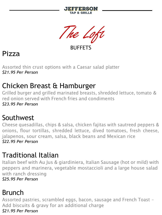



**BUFFFTS** 

Pizza

Assorted thin crust options with a Caesar salad platter *\$21.95 Per Person*

## Chicken Breast & Hamburger

Grilled burger and grilled marinated breasts, shredded lettuce, tomato & red onion served with French fries and condiments *\$23.95 Per Person*

## Southwest

Cheese quesadillas, chips & salsa, chicken fajitas with sautreed peppers & onions, flour tortillas, shredded lettuce, dived tomatoes, fresh cheese, jalapenos, sour cream, salsa, black beans and Mexican rice *\$22.95 Per Person*

## Traditional Italian

Italian beef with Au Jus & giardiniera, Italian Sausage (hot or mild) with peppers and marinera, vegetable mostaccioli and a large house salad with ranch dressing

*\$25.95 Per Person*

## Brunch

Assorted pastries, scrambled eggs, bacon, sausage and French Toast – Add biscuits & gravy for an additional charge *\$21.95 Per Person*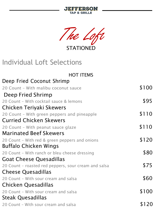



STATIONED

## Individual Loft Selections

| Deep Fried Coconut Shrimp<br>\$100<br>20 Count - With malibu coconut sauce<br>Deep Fried Shrimp<br>\$95<br>20 Count - With cocktail sauce & lemons |  |
|----------------------------------------------------------------------------------------------------------------------------------------------------|--|
|                                                                                                                                                    |  |
|                                                                                                                                                    |  |
|                                                                                                                                                    |  |
|                                                                                                                                                    |  |
| Chicken Teriyaki Skewers                                                                                                                           |  |
| \$110<br>20 Count - With green peppers and pineapple                                                                                               |  |
| <b>Curried Chicken Skewers</b>                                                                                                                     |  |
| \$110<br>20 Count - With peanut sauce glaze                                                                                                        |  |
| <b>Marinated Beef Skewers</b>                                                                                                                      |  |
| \$120<br>20 Count - With red & green peppers and onions                                                                                            |  |
| Buffalo Chicken Wings                                                                                                                              |  |
| \$80<br>20 Count - With ranch or bleu cheese dressing                                                                                              |  |
| <b>Goat Cheese Quesadillas</b>                                                                                                                     |  |
| \$75<br>20 Count - roasted red peppers, sour cream and salsa                                                                                       |  |
| <b>Cheese Quesadillas</b>                                                                                                                          |  |
| \$60<br>20 Count - With sour cream and salsa                                                                                                       |  |
| Chicken Quesadillas                                                                                                                                |  |
| \$100<br>20 Count - With sour cream and salsa                                                                                                      |  |
| Steak Quesadillas                                                                                                                                  |  |
| \$120<br>20 Count - With sour cream and salsa                                                                                                      |  |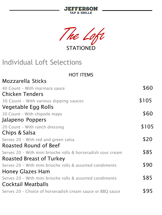



**STATIONED** 

## Individual Loft Selections

#### HOT ITEMS

| <b>Mozzarella Sticks</b>                                     |       |
|--------------------------------------------------------------|-------|
| 40 Count - With marinara sauce                               | \$60  |
| <b>Chicken Tenders</b>                                       |       |
| 30 Count - With various dipping sauces                       | \$105 |
| Vegetable Egg Rolls                                          |       |
| 30 Count - With chipotle mayo                                | \$60  |
| Jalapeno Poppers                                             |       |
| 20 Count - With ranch dressing                               | \$105 |
| Chips & Salsa                                                |       |
| Serves 20 - With red and green salsa                         | \$20  |
| <b>Roasted Round of Beef</b>                                 |       |
| Serves 20 - With mini brioche rolls & horseradish sour cream | \$85  |
| <b>Roasted Breast of Turkey</b>                              |       |
| Serves 20 - With mini brioche rolls & assorted condiments    | \$90  |
| <b>Honey Glazes Ham</b>                                      |       |
| Serves 20 - With mini brioche rolls & assorted condiments    | \$85  |
| <b>Cocktail Meatballs</b>                                    |       |
| Serves 20 - Choice of horseradish cream sauce or BBQ sauce   | \$95  |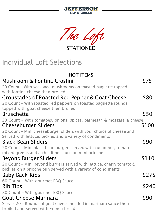| The Loft                                                                                                         |       |
|------------------------------------------------------------------------------------------------------------------|-------|
| <b>STATIONED</b>                                                                                                 |       |
| <b>Individual Loft Selections</b>                                                                                |       |
| <b>HOT ITEMS</b>                                                                                                 |       |
| Mushroom & Fontina Crostini                                                                                      | \$75  |
| 20 Count - With seasoned mushrooms on toasted baguette topped                                                    |       |
| with fontina cheese then broiled                                                                                 | \$80  |
| Croustades of Roasted Red Pepper & Goat Cheese<br>20 Count - With roasted red peppers on toasted baguette rounds |       |
| topped with goat cheese then broiled                                                                             |       |
| <b>Bruschetta</b>                                                                                                | \$50  |
| 20 Count - With tomatoes, onions, spices, parmesan & mozzarella cheese                                           |       |
| <b>Cheeseburger Sliders</b>                                                                                      | \$100 |
| 20 Count - Mini cheeseburger sliders with your choice of cheese and                                              |       |
| Served with lettuce, pickles and a variety of condiments<br><b>Black Bean Sliders</b>                            | \$90  |
| 20 Count - Mini black bean burgers served with cucumber, tomato,                                                 |       |
| mixed greens and a chili lime sauce on mini brioche                                                              |       |
| <b>Beyond Burger Sliders</b>                                                                                     | \$110 |
| 20 Count - Mini beyond burgers served with lettuce, cherry tomato &                                              |       |
| pickles on a brioche bun served with a variety of condiments                                                     |       |
| <b>Baby Back Ribs</b>                                                                                            | \$275 |
| 60 Count - With gourmet BBQ Sauce                                                                                |       |
| <b>Rib Tips</b>                                                                                                  | \$240 |
| 80 Count - With gourmet BBQ Sauce<br><b>Goat Cheese Marinara</b>                                                 | \$90  |
| Serves 20 - Rounds of goat cheese nestled in marinara sauce then                                                 |       |

**JEFFERSON TAP & GRILLE** 

broiled and served with French bread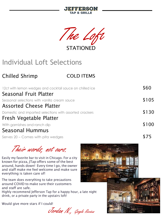



## Individual Loft Selections

## Chilled Shrimp COLD ITEMS

| 12ct with lemon wedges and cocktail sauce on chilled ice | \$60  |
|----------------------------------------------------------|-------|
| Seasonal Fruit Platter                                   |       |
| Seasonal selections with vanilla cream sauce             | \$105 |
| <b>Assorted Cheese Platter</b>                           |       |
| Domestic and imported selections with assorted crackers  | \$130 |
| Fresh Vegetable Platter                                  |       |
| With garnishes and ranch dip                             | \$100 |
| <b>Seasonal Hummus</b>                                   |       |
| Serves 20 – Comes with pita wedges                       |       |

Their words, not ours.

Easily my favorite bar to visit in Chicago. For a city known for pizza, JTap offers some of the best around, hands down! Every time I go, the owner and staff make me feel welcome and make sure everything is taken care of!

The team does everything to take precautions around COVID to make sure their customers and staff are safe.

Highly recommend Jefferson Tap for a happy hour, a late night drink, or a private party in the upstairs loft!

Would give more stars if I could!

Jordan N., Google Review



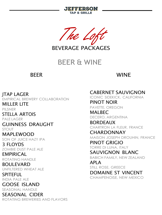



BEVERAGE PACKAGES

## BEER & WINE

#### BEER

#### WINE

JTAP LAGER EMPIRICAL BREWERY COLLABORATION MILLER LITE PILSNER STELLA ARTOIS PALE LAGER GUINNESS DRAUGHT STOUT MAPLEWOOD SON OF JUICE HAZY IPA 3 FLOYDS ZOMBIE DUST PALE ALE **EMPIRICAL** ROTATING HANDLE BOULEVARD UNFILTERED WHEAT ALE SPITEFUL INDIA PALE ALE GOOSE ISLAND SEASONAL HANDLE SEASONAL CIDER ROTATING BREWERIES AND FLAVORS

#### CABERNET SAUVIGNON

ICONIC SIDEKICK, CALIFORNIA PINOT NOIR PAVETTE, OREGON

MALBEC DECERO, ARGENTINA

BORDEAUX CHARTRON LA FLEUR, FRANCE

CHARDONNAY MAISON JOSEPH DROUHIN, FRANCE

PINOT GRIGIO TORRE DI LUNA, ITALY

SAUVIGNON BLANC BABICH FAMILY, NEW ZEALAND

APLA STILL ROSE, GREECE DOMAINE ST VINCENT CHAMPENOISE, NEW MEXICO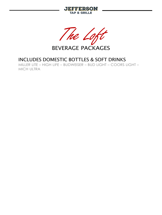



BEVERAGE PACKAGES

#### INCLUDES DOMESTIC BOTTLES & SOFT DRINKS

MILLER LITE – HIGH LIFE – BUDWEISER – BUD LIGHT – COORS LIGHT – MICH ULTRA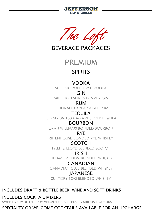



BEVERAGE PACKAGES



#### SPIRITS

#### VODKA

SOBIESKI POLISH RYE VODKA

GIN

MILE HIGH SPIRITS DENVER GIN

RUM

EL DORADO 3 YEAR AGED RUM

TEQUILA

CORAZON 100% AGAVE SILVER TEQUILA

#### BOURBON

EVAN WILLIAMS BONDED BOURBON

RYE

RITTENHOUSE BONDED RYE WHISKEY

#### SCOTCH

TYLER & LLOYD BLENDED SCOTCH

#### IRISH

TULLAMORE DEW BLENDED WHISKEY

#### **CANADIAN**

CANADIAN CLUB BLENDED WHISKEY

#### **IAPANESE**

SUNTORY TOKI BLENDED WHISKEY

#### INCLUDES DRAFT & BOTTLE BEER, WINE AND SOFT DRINKS

#### INCLUDES COCKTAIL MIXERS

SWEET VERMOUTH – DRY VERMOTH – BITTERS – VARIOUS LIQUEURS

#### SPECIALTY OR WELCOME COCKTAILS AVAILABLE FOR AN UPCHARGE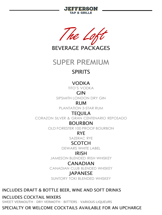



BEVERAGE PACKAGES

SUPER PREMIUM

### **SPIRITS**

#### VODKA

TITO'S VODKA

GIN

SIPSMITH LONDON DRY GIN

RUM

PLANTATION 3-STAR RUM

#### TEQUILA

CORAZON SILVER & GRAN CENTENARIO REPOSADO

#### BOURBON

OLD FORESTER 100 PROOF BOURBON

RYE

SAZERAC RYE

#### SCOTCH

DEWARS WHITE LABEL

#### IRISH

JAMESON BLENDED IRISH WHISKEY

#### CANADIAN

CANADIAN CLUB BLENDED WHISKEY

#### **IAPANESE**

SUNTORY TOKI BLENDED WHISKEY

#### INCLUDES DRAFT & BOTTLE BEER, WINE AND SOFT DRINKS

#### INCLUDES COCKTAIL MIXERS

SWEET VERMOUTH – DRY VERMOTH – BITTERS – VARIOUS LIQUEURS

#### SPECIALTY OR WELCOME COCKTAILS AVAILABLE FOR AN UPCHARGE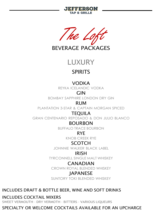



BEVERAGE PACKAGES

LUXURY

### SPIRITS

#### VODKA

REYKA ICELANDIC VODKA

GIN

BOMBAY SAPPHIRE LONDON DRY GIN

RUM

PLANTATION 3-STAR & CAPTAIN MORGAN SPICED

#### TEQUILA

GRAN CENTENARIO REPOSADO & DON JULIO BLANCO

#### BOURBON

BUFFALO TRACE BOURBON

RYE

KNOB CREEK RYE

#### SCOTCH

JOHNNIE WALKER BLACK LABEL

#### IRISH

TYRCONNELL SINGLE MALT WHISKEY

#### CANADIAN

CROWN ROYAL BLENDED WHISKEY

#### **IAPANESE**

SUNTORY TOKI BLENDED WHISKEY

#### INCLUDES DRAFT & BOTTLE BEER, WINE AND SOFT DRINKS

#### INCLUDES COCKTAIL MIXERS

SWEET VERMOUTH – DRY VERMOTH – BITTERS – VARIOUS LIQUEURS

#### SPECIALTY OR WELCOME COCKTAILS AVAILABLE FOR AN UPCHARGE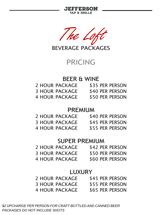



BEVERAGE PACKAGES

## PRICING

#### BEER & WINE

| 2 HOUR PACKAGE        | \$35 PER PERSON |
|-----------------------|-----------------|
| <b>3 HOUR PACKAGE</b> | \$40 PER PERSON |
| 4 HOUR PACKAGE        | \$50 PER PERSON |

#### PREMIUM

| 2 HOUR PACKAGE        | \$40 PER PERSON |
|-----------------------|-----------------|
| <b>3 HOUR PACKAGE</b> | \$45 PER PERSON |
| 4 HOUR PACKAGE        | \$55 PER PERSON |

#### SUPER PREMIUM

| 2 HOUR PACKAGE        | \$42 PER PERSON |
|-----------------------|-----------------|
| <b>3 HOUR PACKAGE</b> | \$50 PER PERSON |
| 4 HOUR PACKAGE        | \$60 PER PERSON |

#### LUXURY

| 2 HOUR PACKAGE        | \$45 PER PERSON |
|-----------------------|-----------------|
| <b>3 HOUR PACKAGE</b> | \$55 PER PERSON |
| 4 HOUR PACKAGE        | \$65 PER PERSON |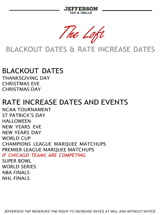EERSON **TAP & GRILLE** 

The Loft

## BLACKOUT DATES & RATE INCREASE DATES

## BLACKOUT DATES

THANKSGIVING DAY CHRISTMAS EVE CHRISTMAS DAY

## RATE INCREASE DATES AND EVENTS

NCAA TOURNAMENT ST PATRICK'S DAY HALLOWEEN NEW YEARS EVE NEW YEARS DAY WORLD CUP CHAMPIONS LEAGUE MARQUEE MATCHUPS PREMIER LEAGUE MARQUEE MATCHUPS *IF CHICAGO TEAMS ARE COMPETING* SUPER BOWL WORLD SERIES NBA FINALS NHL FINALS